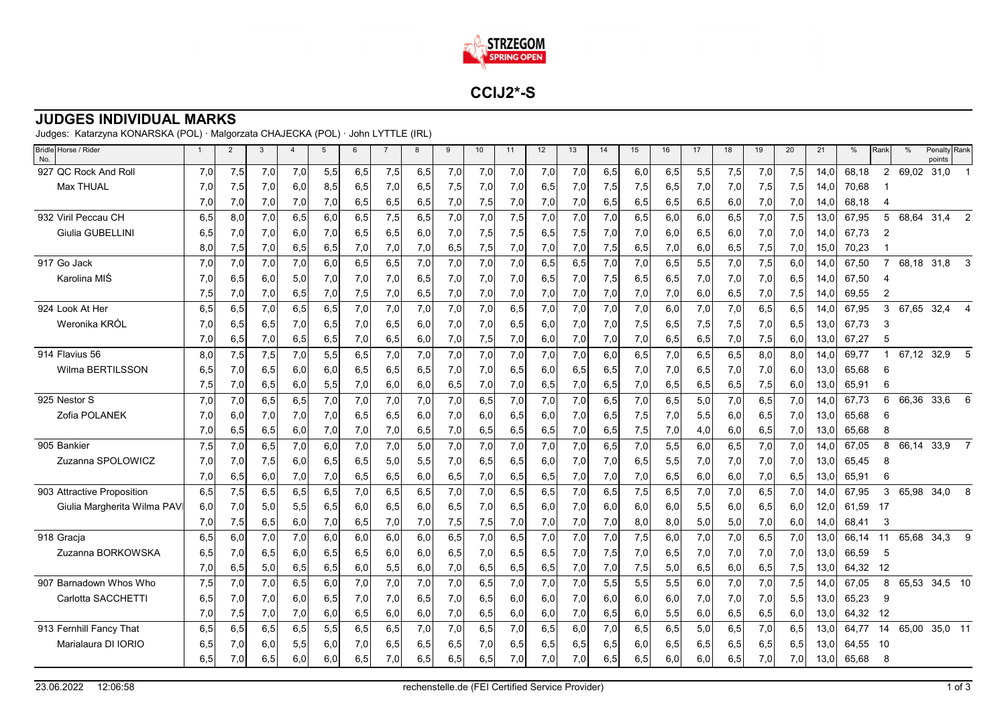

**CCIJ2\*-S**

## **JUDGES INDIVIDUAL MARKS**

Judges: Katarzyna KONARSKA (POL) · Malgorzata CHAJECKA (POL) · John LYTTLE (IRL)

| Bridle Horse / Rider<br>No. | $\mathbf{1}$ | $\overline{2}$ | $\mathbf{3}$ | $\overline{4}$ | 5   | 6   | $\overline{7}$ | 8   | 9   | 10  | 11  | 12  | 13    | 14  | 15  | 16  | 17  | 18  | 19   | 20  | 21   | $\%$  | Rank           | $\frac{0}{0}$ | Penalty Rank<br>points |                |
|-----------------------------|--------------|----------------|--------------|----------------|-----|-----|----------------|-----|-----|-----|-----|-----|-------|-----|-----|-----|-----|-----|------|-----|------|-------|----------------|---------------|------------------------|----------------|
| 927 QC Rock And Roll        | 7,0          | 7,5            | 7,0          | 7,0            | 5,5 | 6,5 | 7,5            | 6,5 | 7,0 | 7,0 | 7,0 | 7,0 | 7,0   | 6,5 | 6,0 | 6,5 | 5,5 | 7,5 | 7,0  | 7,5 | 14.0 | 68,18 | $\overline{2}$ | 69,02         | 31,0                   |                |
| <b>Max THUAL</b>            | 7,0          | 7,5            | 7,0          | 6,0            | 8,5 | 6,5 | 7,0            | 6,5 | 7,5 | 7,0 | 7,0 | 6,5 | 7,0   | 7,5 | 7,5 | 6,5 | 7,0 | 7,0 | 7,5  | 7,5 | 14.0 | 70,68 |                |               |                        |                |
|                             | 7,0          | 7,0            | 7,0          | 7,0            | 7,0 | 6,5 | 6,5            | 6,5 | 7,0 | 7,5 | 7,0 | 7,0 | 7,0   | 6,5 | 6,5 | 6,5 | 6,5 | 6,0 | 7,0  | 7,0 | 14.0 | 68,18 |                |               |                        |                |
| 932 Viril Peccau CH         | 6,5          | 8.0            | 7,0          | 6,5            | 6,0 | 6,5 | 7,5            | 6,5 | 7,0 | 7,0 | 7,5 | 7,0 | 7,0   | 7,0 | 6,5 | 6,0 | 6,0 | 6,5 | 7,0  | 7,5 | 13.0 | 67.95 | 5              | 68.64         | 31.4                   | $\overline{2}$ |
| Giulia GUBELLINI            | 6,5          | 7,0            | 7,0          | 6,0            | 7,0 | 6,5 | 6,5            | 6,0 | 7,0 | 7,5 | 7,5 | 6,5 | 7,5   | 7,0 | 7,0 | 6,0 | 6,5 | 6,0 | 7,0  | 7,0 | 14,0 | 67,73 | $\overline{2}$ |               |                        |                |
|                             | 8,0          | 7,5            | 7,0          | 6,5            | 6,5 | 7,0 | 7,0            | 7,0 | 6,5 | 7,5 | 7,0 | 7,0 | $7,0$ | 7,5 | 6,5 | 7,0 | 6,0 | 6,5 | 7,5  | 7,0 | 15,0 | 70,23 |                |               |                        |                |
| 917 Go Jack                 | 7,0          | 7,0            | 7,0          | 7,0            | 6,0 | 6,5 | 6,5            | 7,0 | 7,0 | 7,0 | 7,0 | 6.5 | 6,5   | 7,0 | 7,0 | 6,5 | 5,5 | 7,0 | 7,5  | 6.0 | 14,0 | 67,50 | $\overline{7}$ | 68,18         | 31,8                   | 3              |
| Karolina MIŚ                | 7.0          | 6,5            | 6.0          | 5,0            | 7,0 | 7,0 | 7,0            | 6,5 | 7,0 | 7.0 | 7,0 | 6.5 | 7,0   | 7,5 | 6,5 | 6,5 | 7,0 | 7,0 | 7,0  | 6,5 | 14.0 | 67.50 | Δ              |               |                        |                |
|                             | 7,5          | 7,0            | 7,0          | 6,5            | 7,0 | 7,5 | 7,0            | 6,5 | 7,0 | 7,0 | 7,0 | 7,0 | 7,0   | 7,0 | 7,0 | 7,0 | 6,0 | 6,5 | 7,0  | 7,5 | 14.C | 69,55 | 2              |               |                        |                |
| 924 Look At Her             | 6,5          | 6,5            | 7,0          | 6,5            | 6,5 | 7,0 | 7,0            | 7,0 | 7,0 | 7,0 | 6,5 | 7,0 | 7,0   | 7,0 | 7,0 | 6,0 | 7,0 | 7,0 | 6,5  | 6,5 | 14,0 | 67,95 | 3              | 67,65         | 32,4                   | $\overline{4}$ |
| Weronika KRÓL               | 7,0          | 6,5            | 6,5          | 7,0            | 6,5 | 7,0 | 6,5            | 6,0 | 7,0 | 7,0 | 6,5 | 6,0 | 7,0   | 7,0 | 7,5 | 6,5 | 7,5 | 7,5 | 7,0  | 6,5 | 13,0 | 67,73 | 3              |               |                        |                |
|                             | 7,0          | 6,5            | 7,0          | 6,5            | 6,5 | 7,0 | 6,5            | 6,0 | 7,0 | 7,5 | 7,0 | 6,0 | 7,0   | 7,0 | 7,0 | 6,5 | 6,5 | 7,0 | 7,5  | 6,0 | 13,0 | 67,27 | 5              |               |                        |                |
| 914 Flavius 56              | 8.0          | 7,5            | 7,5          | 7,0            | 5,5 | 6,5 | 7,0            | 7,0 | 7,0 | 7,0 | 7.0 | 7,0 | 7,0   | 6,0 | 6,5 | 7,0 | 6,5 | 6,5 | 8,0  | 8.0 | 14.0 | 69,77 |                | 67,12         | 32,9                   | 5              |
| Wilma BERTILSSON            | 6,5          | 7,0            | 6,5          | 6,0            | 6,0 | 6,5 | 6,5            | 6,5 | 7,0 | 7,0 | 6,5 | 6,0 | 6,5   | 6,5 | 7,0 | 7,0 | 6,5 | 7,0 | 7,0  | 6,0 | 13,0 | 65,68 | 6              |               |                        |                |
|                             | 7,5          | 7,0            | 6,5          | 6,0            | 5,5 | 7,0 | 6,0            | 6,0 | 6,5 | 7,0 | 7,0 | 6,5 | 7,0   | 6,5 | 7,0 | 6,5 | 6,5 | 6,5 | 7,5  | 6,0 | 13,0 | 65,91 | 6              |               |                        |                |
| 925 Nestor S                | 7,0          | 7,0            | 6,5          | 6,5            | 7,0 | 7,0 | 7,0            | 7,0 | 7,0 | 6,5 | 7,0 | 7,0 | 7,0   | 6,5 | 7,0 | 6,5 | 5,0 | 7,0 | 6, 5 | 7,0 | 14.0 | 67.73 | 6              | 66,36         | 33,6                   | 6              |
| Zofia POLANEK               | 7,0          | 6,0            | 7,0          | 7,0            | 7,0 | 6,5 | 6,5            | 6,0 | 7,0 | 6,0 | 6,5 | 6,0 | 7,0   | 6,5 | 7,5 | 7,0 | 5,5 | 6,0 | 6,5  | 7,0 | 13,0 | 65,68 | 6              |               |                        |                |
|                             | 7,0          | 6,5            | 6,5          | 6,0            | 7,0 | 7,0 | 7,0            | 6,5 | 7,0 | 6,5 | 6,5 | 6,5 | 7,0   | 6,5 | 7,5 | 7,0 | 4,0 | 6,0 | 6,5  | 7,0 | 13.0 | 65.68 | 8              |               |                        |                |
| 905 Bankier                 | 7,5          | 7,0            | 6,5          | 7,0            | 6,0 | 7,0 | 7,0            | 5,0 | 7,0 | 7,0 | 7,0 | 7,0 | 7,0   | 6,5 | 7,0 | 5,5 | 6,0 | 6,5 | 7,0  | 7,0 | 14.0 | 67,05 | 8              | 66,14         | 33,9                   | $\overline{7}$ |
| Zuzanna SPOLOWICZ           | 7,0          | 7,0            | 7,5          | 6,0            | 6,5 | 6,5 | 5,0            | 5,5 | 7,0 | 6,5 | 6,5 | 6,0 | 7,0   | 7,0 | 6,5 | 5,5 | 7,0 | 7,0 | 7,0  | 7,0 | 13,0 | 65,45 | 8              |               |                        |                |
|                             | 7,0          | 6,5            | 6,0          | 7,0            | 7,0 | 6,5 | 6,5            | 6,0 | 6,5 | 7,0 | 6,5 | 6,5 | 7,0   | 7,0 | 7,0 | 6,5 | 6,0 | 6,0 | 7,0  | 6,5 | 13,0 | 65.91 | 6              |               |                        |                |
| 903 Attractive Proposition  | 6,5          | 7,5            | 6,5          | 6,5            | 6,5 | 7,0 | 6,5            | 6,5 | 7,0 | 7,0 | 6,5 | 6.5 | 7.0   | 6,5 | 7,5 | 6,5 | 7,0 | 7,0 | 6,5  | 7,0 | 14.0 | 67.95 | 3              | 65,98         | 34,0                   | 8              |
| Giulia Margherita Wilma PAV | 6,0          | 7,0            | 5,0          | 5,5            | 6,5 | 6,0 | 6,5            | 6,0 | 6,5 | 7,0 | 6,5 | 6,0 | 7,0   | 6,0 | 6,0 | 6,0 | 5,5 | 6,0 | 6, 5 | 6,0 | 12,0 | 61,59 | -17            |               |                        |                |
|                             | 7,0          | 7,5            | 6,5          | 6,0            | 7,0 | 6,5 | 7,0            | 7,0 | 7,5 | 7,5 | 7,0 | 7,0 | 7,0   | 7,0 | 8,0 | 8,0 | 5,0 | 5,0 | 7,0  | 6,0 | 14,0 | 68,41 | 3              |               |                        |                |
| 918 Gracja                  | 6,5          | 6,0            | 7,0          | 7,0            | 6,0 | 6,0 | 6,0            | 6,0 | 6,5 | 7,0 | 6,5 | 7,0 | 7,0   | 7,0 | 7,5 | 6,0 | 7,0 | 7,0 | 6,5  | 7,0 | 13,0 | 66,14 | 11             | 65,68         | 34,3                   | 9              |
| Zuzanna BORKOWSKA           | 6.5          | 7,0            | 6,5          | 6,0            | 6,5 | 6,5 | 6,0            | 6,0 | 6,5 | 7,0 | 6,5 | 6,5 | 7,0   | 7,5 | 7,0 | 6,5 | 7,0 | 7,0 | 7,0  | 7,0 | 13,0 | 66,59 | 5              |               |                        |                |
|                             | 7,0          | 6,5            | 5,0          | 6,5            | 6,5 | 6,0 | 5,5            | 6,0 | 7,0 | 6,5 | 6,5 | 6,5 | 7,0   | 7,0 | 7,5 | 5,0 | 6,5 | 6,0 | 6,5  | 7,5 | 13,0 | 64,32 | 12             |               |                        |                |
| 907 Barnadown Whos Who      | 7,5          | 7,0            | 7,0          | 6,5            | 6,0 | 7,0 | 7,0            | 7,0 | 7,0 | 6,5 | 7,0 | 7,0 | 7,0   | 5,5 | 5,5 | 5,5 | 6,0 | 7,0 | 7,0  | 7,5 | 14,0 | 67.05 | 8              | 65,53         | 34,5 10                |                |
| Carlotta SACCHETTI          | 6, 5         | 7,0            | 7,0          | 6,0            | 6,5 | 7,0 | 7,0            | 6,5 | 7,0 | 6,5 | 6,0 | 6,0 | 7,0   | 6,0 | 6,0 | 6,0 | 7,0 | 7,0 | 7,0  | 5,5 | 13,0 | 65,23 | 9              |               |                        |                |
|                             | 7,0          | 7,5            | 7,0          | 7,0            | 6,0 | 6,5 | 6,0            | 6,0 | 7,0 | 6,5 | 6,0 | 6,0 | 7,0   | 6,5 | 6,0 | 5,5 | 6,0 | 6,5 | 6,5  | 6,0 | 13,0 | 64,32 | 12             |               |                        |                |
| 913 Fernhill Fancy That     | 6.5          | 6,5            | 6,5          | 6,5            | 5,5 | 6,5 | 6,5            | 7.0 | 7,0 | 6,5 | 7,0 | 6.5 | 6,0   | 7,0 | 6,5 | 6,5 | 5,0 | 6,5 | 7,0  | 6,5 | 13.0 | 64.77 | 14             | 65.00         | 35,0 11                |                |
| Marialaura DI IORIO         | 6,5          | 7,0            | 6,0          | 5,5            | 6,0 | 7,0 | 6,5            | 6,5 | 6,5 | 7,0 | 6,5 | 6,5 | 6,5   | 6,5 | 6,0 | 6,5 | 6,5 | 6,5 | 6,5  | 6,5 | 13,0 | 64,55 | -10            |               |                        |                |
|                             | 6,5          | 7,0            | 6,5          | 6,0            | 6,0 | 6,5 | 7,0            | 6,5 | 6,5 | 6,5 | 7,0 | 7,0 | 7,0   | 6,5 | 6,5 | 6,0 | 6,0 | 6,5 | 7,0  | 7,0 | 13,0 | 65,68 | 8              |               |                        |                |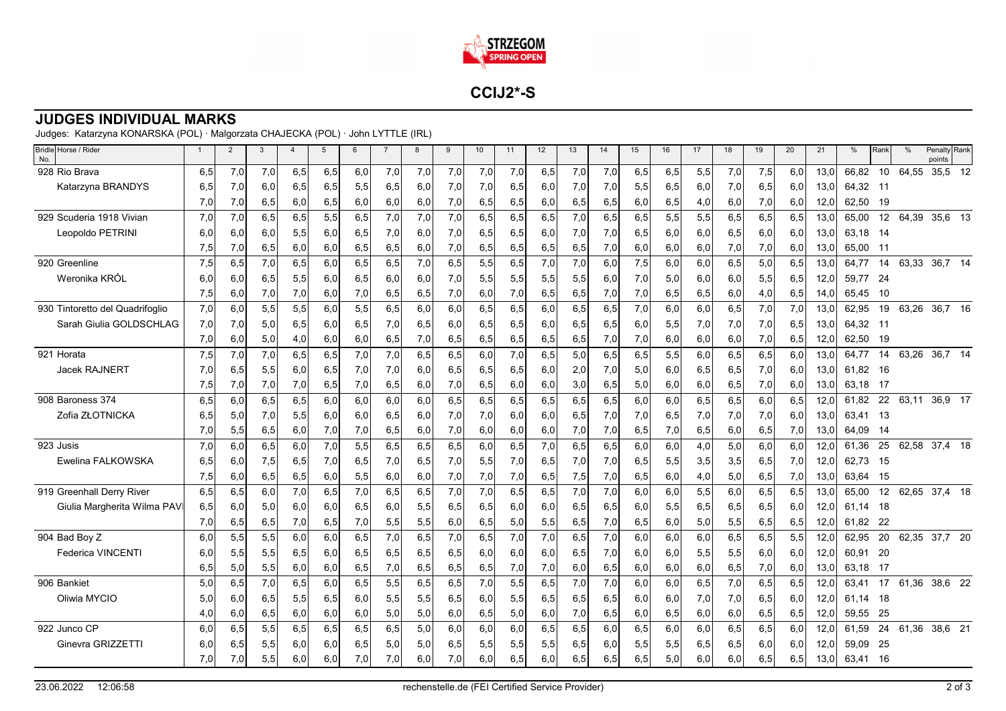

**CCIJ2\*-S**

## **JUDGES INDIVIDUAL MARKS**

Judges: Katarzyna KONARSKA (POL) · Malgorzata CHAJECKA (POL) · John LYTTLE (IRL)

| Bridle Horse / Rider<br>No.     | $\overline{1}$ | $\overline{2}$ | 3    | $\overline{4}$ | $5\phantom{.0}$ | 6   | $\overline{7}$ | 8   | 9   | 10  | 11  | 12   | 13   | 14  | 15  | 16  | 17   | 18   | 19  | 20  | 21   | %     | Rank | %     | Penalty Rank<br>points |    |
|---------------------------------|----------------|----------------|------|----------------|-----------------|-----|----------------|-----|-----|-----|-----|------|------|-----|-----|-----|------|------|-----|-----|------|-------|------|-------|------------------------|----|
| 928 Rio Brava                   | 6,5            | 7,0            | 7,0  | 6,5            | 6,5             | 6,0 | 7,0            | 7,0 | 7,0 | 7,0 | 7,0 | 6,5  | 7,0  | 7,0 | 6,5 | 6,5 | 5,5  | 7,0  | 7,5 | 6,0 | 13,0 | 66,82 | 10   | 64,55 | 35,5                   | 12 |
| Katarzyna BRANDYS               | 6,5            | 7,0            | 6,0  | 6,5            | 6,5             | 5,5 | 6,5            | 6,0 | 7,0 | 7,0 | 6,5 | 6,0  | 7,0  | 7.0 | 5,5 | 6,5 | 6,0  | 7,0  | 6,5 | 6,0 | 13,0 | 64.32 | -11  |       |                        |    |
|                                 | 7,0            | 7,0            | 6,5  | 6,0            | 6,5             | 6,0 | 6,0            | 6,0 | 7,0 | 6,5 | 6,5 | 6,0  | 6,5  | 6,5 | 6,0 | 6,5 | 4,0  | 6,0  | 7,0 | 6,0 | 12,0 | 62,50 | 19   |       |                        |    |
| 929 Scuderia 1918 Vivian        | 7,0            | 7,0            | 6,5  | 6,5            | 5,5             | 6,5 | 7,0            | 7,0 | 7,0 | 6,5 | 6,5 | 6,5  | 7,0  | 6,5 | 6,5 | 5,5 | 5,5  | 6,5  | 6,5 | 6,5 | 13,0 | 65.00 | 12   | 64.39 | 35,6 13                |    |
| Leopoldo PETRINI                | 6,0            | 6,0            | 6,0  | 5,5            | 6,0             | 6,5 | 7,0            | 6,0 | 7,0 | 6,5 | 6,5 | 6,0  | 7,0  | 7,0 | 6,5 | 6,0 | 6,0  | 6,5  | 6,0 | 6,0 | 13,0 | 63,18 | -14  |       |                        |    |
|                                 | 7,5            | 7,0            | 6,5  | 6,0            | 6,0             | 6,5 | 6,5            | 6,0 | 7,0 | 6,5 | 6,5 | 6,5  | 6,5  | 7,0 | 6,0 | 6,0 | 6,0  | 7,0  | 7,0 | 6,0 | 13,0 | 65,00 | -11  |       |                        |    |
| 920 Greenline                   | 7,5            | 6,5            | 7,0  | 6,5            | 6,0             | 6,5 | 6,5            | 7,0 | 6,5 | 5,5 | 6,5 | 7,0  | 7,0  | 6,0 | 7,5 | 6,0 | 6,0  | 6,5  | 5,0 | 6,5 | 13,0 | 64.77 | 14   | 63,33 | 36,7 14                |    |
| Weronika KRÓL                   | 6.0            | 6,0            | 6.5  | 5,5            | 6.0             | 6,5 | 6,0            | 6,0 | 7,0 | 5,5 | 5,5 | 5,5  | 5,5  | 6.0 | 7,0 | 5.0 | 6,0  | 6,0  | 5,5 | 6,5 | 12,0 | 59,77 | -24  |       |                        |    |
|                                 | 7,5            | 6,0            | 7,0  | 7,0            | 6,0             | 7,0 | 6,5            | 6,5 | 7,0 | 6,0 | 7,0 | 6,5  | 6,5  | 7,0 | 7,0 | 6,5 | 6,5  | 6,0  | 4,0 | 6,5 | 14,0 | 65,45 | 10   |       |                        |    |
| 930 Tintoretto del Quadrifoglio | 7,0            | 6,0            | 5,5  | 5,5            | 6,0             | 5,5 | 6,5            | 6,0 | 6,0 | 6,5 | 6,5 | 6,0  | 6, 5 | 6,5 | 7,0 | 6,0 | 6,0  | 6,5  | 7,0 | 7,0 | 13,0 | 62,95 | 19   | 63,26 | 36,7 16                |    |
| Sarah Giulia GOLDSCHLAG         | 7,0            | 7,0            | 5,0  | 6,5            | 6,0             | 6,5 | 7,0            | 6,5 | 6,0 | 6,5 | 6,5 | 6,0  | 6,5  | 6,5 | 6,0 | 5,5 | 7,0  | 7,0  | 7,0 | 6,5 | 13,0 | 64,32 | -11  |       |                        |    |
|                                 | 7,0            | 6,0            | 5,0  | 4,0            | 6,0             | 6,0 | 6,5            | 7,0 | 6,5 | 6,5 | 6,5 | 6,5  | 6,5  | 7,0 | 7,0 | 6,0 | 6,0  | 6,0  | 7,0 | 6,5 | 12,0 | 62,50 | 19   |       |                        |    |
| 921 Horata                      | 7,5            | 7,0            | 7,0  | 6,5            | 6,5             | 7,0 | 7,0            | 6,5 | 6,5 | 6,0 | 7.0 | 6,5  | 5,0  | 6,5 | 6,5 | 5,5 | 6,0  | 6,5  | 6,5 | 6,0 | 13,0 | 64.77 | 14   | 63,26 | 36,7 14                |    |
| Jacek RAJNERT                   | 7,0            | 6,5            | 5,5  | 6,0            | 6,5             | 7,0 | 7,0            | 6,0 | 6,5 | 6,5 | 6,5 | 6,0  | 2,0  | 7,0 | 5,0 | 6,0 | 6,5  | 6,5  | 7,0 | 6,0 | 13,0 | 61,82 | -16  |       |                        |    |
|                                 | 7,5            | 7,0            | 7,0  | 7,0            | 6,5             | 7,0 | 6,5            | 6,0 | 7,0 | 6,5 | 6,0 | 6,0  | 3,0  | 6,5 | 5,0 | 6,0 | 6,0  | 6,5  | 7,0 | 6,0 | 13,0 | 63,18 | 17   |       |                        |    |
| 908 Baroness 374                | 6,5            | 6,0            | 6,5  | 6,5            | 6,0             | 6,0 | 6,0            | 6,0 | 6,5 | 6,5 | 6,5 | 6,5  | 6,5  | 6,5 | 6,0 | 6,0 | 6, 5 | 6,5  | 6,0 | 6,5 | 12,0 | 61.82 | 22   | 63,11 | 36,9 17                |    |
| Zofia ZŁOTNICKA                 | 6.5            | 5,0            | 7,0  | 5,5            | 6,0             | 6,0 | 6,5            | 6,0 | 7,0 | 7,0 | 6,0 | 6,0  | 6,5  | 7,0 | 7,0 | 6,5 | 7,0  | 7,0  | 7,0 | 6,0 | 13,0 | 63,41 | 13   |       |                        |    |
|                                 | 7,0            | 5,5            | 6,5  | 6,0            | 7,0             | 7,0 | 6,5            | 6,0 | 7,0 | 6,0 | 6,0 | 6,0  | 7,0  | 7,0 | 6,5 | 7,0 | 6,5  | 6,0  | 6,5 | 7,0 | 13.0 | 64.09 | -14  |       |                        |    |
| 923 Jusis                       | 7,0            | 6,0            | 6, 5 | 6,0            | 7,0             | 5,5 | 6,5            | 6,5 | 6,5 | 6,0 | 6,5 | 7,0  | 6,5  | 6,5 | 6,0 | 6,0 | 4,0  | 5,0  | 6,0 | 6,0 | 12,0 | 61,36 | 25   |       | 62,58 37,4 18          |    |
| Ewelina FALKOWSKA               | 6.5            | 6,0            | 7,5  | 6,5            | 7,0             | 6,5 | 7,0            | 6,5 | 7,0 | 5,5 | 7,0 | 6,5  | 7,0  | 7,0 | 6,5 | 5,5 | 3,5  | 3,5  | 6,5 | 7,0 | 12,0 | 62,73 | -15  |       |                        |    |
|                                 | 7,5            | 6,0            | 6,5  | 6,5            | 6,0             | 5,5 | 6,0            | 6,0 | 7,0 | 7,0 | 7,0 | 6,5  | 7,5  | 7,0 | 6,5 | 6,0 | 4,0  | 5,0  | 6,5 | 7,0 | 13,0 | 63,64 | 15   |       |                        |    |
| 919 Greenhall Derry River       | 6,5            | 6,5            | 6.0  | 7,0            | 6,5             | 7,0 | 6,5            | 6,5 | 7,0 | 7.0 | 6,5 | 6, 5 | 7,0  | 7.0 | 6.0 | 6.0 | 5,5  | 6,0  | 6,5 | 6,5 | 13.0 | 65.00 | 12   | 62.65 | 37,4 18                |    |
| Giulia Margherita Wilma PAV     | 6,5            | 6,0            | 5,0  | 6,0            | 6,0             | 6,5 | 6,0            | 5,5 | 6,5 | 6,5 | 6,0 | 6,0  | 6,5  | 6,5 | 6,0 | 5,5 | 6,5  | 6,5  | 6,5 | 6,0 | 12,0 | 61,14 | 18   |       |                        |    |
|                                 | 7,0            | 6,5            | 6,5  | 7,0            | 6,5             | 7,0 | 5,5            | 5,5 | 6,0 | 6,5 | 5,0 | 5,5  | 6,5  | 7,0 | 6,5 | 6,0 | 5,0  | 5,5  | 6,5 | 6,5 | 12,0 | 61,82 | 22   |       |                        |    |
| 904 Bad Boy Z                   | 6,0            | 5,5            | 5,5  | 6,0            | 6,0             | 6,5 | 7,0            | 6,5 | 7,0 | 6,5 | 7,0 | 7,0  | 6, 5 | 7,0 | 6,0 | 6,0 | 6,0  | 6, 5 | 6,5 | 5,5 | 12,0 | 62,95 | 20   | 62,35 | 37,7 20                |    |
| <b>Federica VINCENTI</b>        | 6.0            | 5,5            | 5,5  | 6,5            | 6,0             | 6,5 | 6,5            | 6,5 | 6,5 | 6,0 | 6,0 | 6,0  | 6,5  | 7,0 | 6,0 | 6,0 | 5,5  | 5,5  | 6,0 | 6,0 | 12,0 | 60,91 | 20   |       |                        |    |
|                                 | 6,5            | 5,0            | 5,5  | 6,0            | 6,0             | 6,5 | 7,0            | 6,5 | 6,5 | 6,5 | 7,0 | 7,0  | 6,0  | 6,5 | 6,0 | 6,0 | 6,0  | 6,5  | 7,0 | 6,0 | 13,0 | 63,18 | 17   |       |                        |    |
| 906 Bankiet                     | 5,0            | 6,5            | 7,0  | 6,5            | 6,0             | 6,5 | 5,5            | 6,5 | 6,5 | 7,0 | 5,5 | 6,5  | 7,0  | 7,0 | 6,0 | 6,0 | 6,5  | 7,0  | 6,5 | 6,5 | 12,0 | 63.41 | 17   | 61,36 | 38,6 22                |    |
| Oliwia MYCIO                    | 5,0            | 6,0            | 6,5  | 5,5            | 6,5             | 6,0 | 5,5            | 5,5 | 6,5 | 6,0 | 5,5 | 6,5  | 6, 5 | 6,5 | 6,0 | 6,0 | 7,0  | 7,0  | 6,5 | 6,0 | 12,0 | 61,14 | 18   |       |                        |    |
|                                 | 4,0            | 6,0            | 6,5  | 6,0            | 6,0             | 6,0 | 5,0            | 5,0 | 6,0 | 6,5 | 5,0 | 6,0  | 7,0  | 6,5 | 6,0 | 6,5 | 6,0  | 6,0  | 6,5 | 6,5 | 12,0 | 59,55 | 25   |       |                        |    |
| 922 Junco CP                    | 6.0            | 6,5            | 5,5  | 6,5            | 6,5             | 6,5 | 6,5            | 5,0 | 6,0 | 6,0 | 6,0 | 6,5  | 6,5  | 6,0 | 6,5 | 6,0 | 6,0  | 6,5  | 6,5 | 6,0 | 12,0 | 61,59 | 24   | 61.36 | 38,6 21                |    |
| Ginevra GRIZZETTI               | 6,0            | 6,5            | 5,5  | 6,0            | 6,0             | 6,5 | 5,0            | 5,0 | 6,5 | 5,5 | 5,5 | 5,5  | 6,5  | 6,0 | 5,5 | 5,5 | 6,5  | 6,5  | 6,0 | 6,0 | 12,0 | 59,09 | 25   |       |                        |    |
|                                 | 7,0            | 7,0            | 5,5  | 6,0            | 6,0             | 7,0 | 7,0            | 6,0 | 7,0 | 6,0 | 6,5 | 6,0  | 6,5  | 6,5 | 6,5 | 5,0 | 6,0  | 6,0  | 6,5 | 6,5 | 13,0 | 63,41 | 16   |       |                        |    |